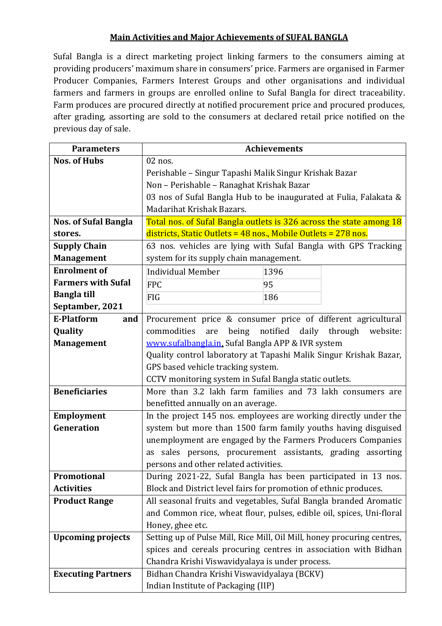## **Main Activities and Major Achievements of SUFAL BANGLA**

Sufal Bangla is a direct marketing project linking farmers to the consumers aiming at providing producers' maximum share in consumers' price. Farmers are organised in Farmer Producer Companies, Farmers Interest Groups and other organisations and individual farmers and farmers in groups are enrolled online to Sufal Bangla for direct traceability. Farm produces are procured directly at notified procurement price and procured produces, after grading, assorting are sold to the consumers at declared retail price notified on the previous day of sale.

| <b>Parameters</b>           | <b>Achievements</b>                                                     |      |  |
|-----------------------------|-------------------------------------------------------------------------|------|--|
| <b>Nos. of Hubs</b>         | 02 nos.                                                                 |      |  |
|                             | Perishable - Singur Tapashi Malik Singur Krishak Bazar                  |      |  |
|                             | Non - Perishable - Ranaghat Krishak Bazar                               |      |  |
|                             | 03 nos of Sufal Bangla Hub to be inaugurated at Fulia, Falakata &       |      |  |
|                             | Madarihat Krishak Bazars.                                               |      |  |
| <b>Nos. of Sufal Bangla</b> | Total nos. of Sufal Bangla outlets is 326 across the state among 18     |      |  |
| stores.                     | districts, Static Outlets = 48 nos., Mobile Outlets = 278 nos.          |      |  |
| <b>Supply Chain</b>         | 63 nos. vehicles are lying with Sufal Bangla with GPS Tracking          |      |  |
| <b>Management</b>           | system for its supply chain management.                                 |      |  |
| <b>Enrolment of</b>         | Individual Member                                                       | 1396 |  |
| <b>Farmers with Sufal</b>   | <b>FPC</b>                                                              | 95   |  |
| <b>Bangla till</b>          | <b>FIG</b>                                                              | 186  |  |
| Septamber, 2021             |                                                                         |      |  |
| <b>E-Platform</b><br>and    | Procurement price & consumer price of different agricultural            |      |  |
| Quality                     | notified daily through<br>commodities<br>being<br>website:<br>are       |      |  |
| <b>Management</b>           | www.sufalbangla.in, Sufal Bangla APP & IVR system                       |      |  |
|                             | Quality control laboratory at Tapashi Malik Singur Krishak Bazar,       |      |  |
|                             | GPS based vehicle tracking system.                                      |      |  |
|                             | CCTV monitoring system in Sufal Bangla static outlets.                  |      |  |
| <b>Beneficiaries</b>        | More than 3.2 lakh farm families and 73 lakh consumers are              |      |  |
|                             | benefitted annually on an average.                                      |      |  |
| Employment                  | In the project 145 nos. employees are working directly under the        |      |  |
| Generation                  | system but more than 1500 farm family youths having disguised           |      |  |
|                             | unemployment are engaged by the Farmers Producers Companies             |      |  |
|                             | sales persons, procurement assistants, grading assorting<br>as          |      |  |
|                             | persons and other related activities.                                   |      |  |
| Promotional                 | During 2021-22, Sufal Bangla has been participated in 13 nos.           |      |  |
| <b>Activities</b>           | Block and District level fairs for promotion of ethnic produces.        |      |  |
| <b>Product Range</b>        | All seasonal fruits and vegetables, Sufal Bangla branded Aromatic       |      |  |
|                             | and Common rice, wheat flour, pulses, edible oil, spices, Uni-floral    |      |  |
|                             | Honey, ghee etc.                                                        |      |  |
| <b>Upcoming projects</b>    | Setting up of Pulse Mill, Rice Mill, Oil Mill, honey procuring centres, |      |  |
|                             | spices and cereals procuring centres in association with Bidhan         |      |  |
|                             | Chandra Krishi Viswavidyalaya is under process.                         |      |  |
| <b>Executing Partners</b>   | Bidhan Chandra Krishi Viswavidyalaya (BCKV)                             |      |  |
|                             | Indian Institute of Packaging (IIP)                                     |      |  |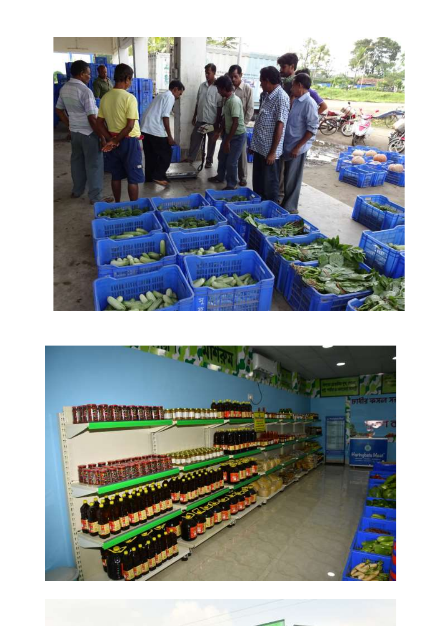



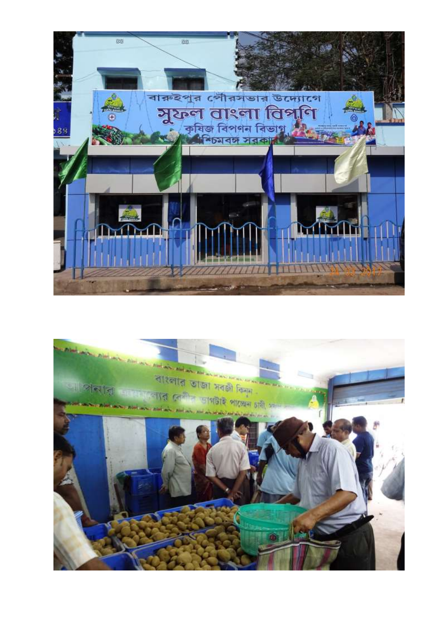

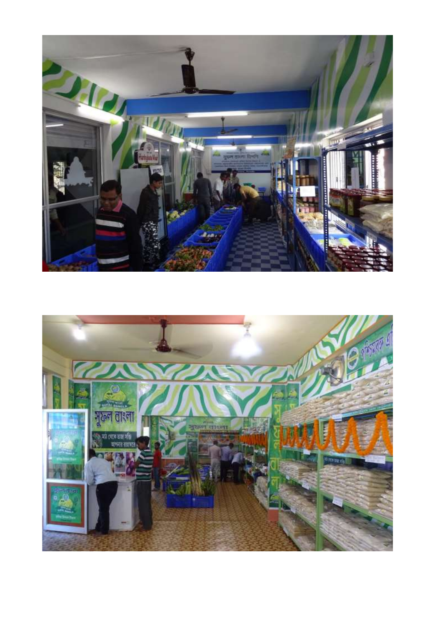